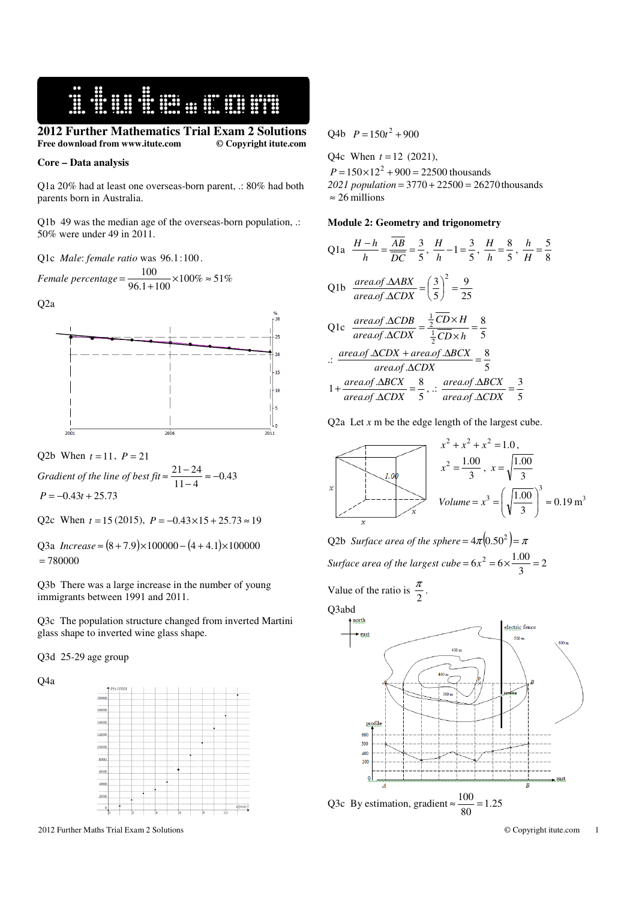

**2012 Further Mathematics Trial Exam 2 Solutions Free download from www.itute.com © Copyright itute.com**

#### **Core – Data analysis**

Q1a 20% had at least one overseas-born parent, .: 80% had both parents born in Australia.

Q1b 49 was the median age of the overseas-born population, .: 50% were under 49 in 2011.

Q1c *Male*: *female ratio* was 96 :1. 100 .

*Female percentage* =  $\frac{100}{96.1 + 100} \times 100\% \approx 51\%$  $=\frac{100}{96.1+100} \times 100\%$   $\approx$ 





Q2b When  $t = 11$ ,  $P = 21$ *Gradient of the line of best fit*  $\approx \frac{21.24}{11 - 4} \approx -0.43$  $\frac{21-24}{11-4} \approx \approx \frac{21-}{1}$  $P = -0.43t + 25.73$ 

Q2c When  $t = 15(2015)$ ,  $P = -0.43 \times 15 + 25.73 \approx 19$ 

Q3a *Increase* ≈  $(8 + 7.9) \times 100000 - (4 + 4.1) \times 100000$  $= 780000$ 

Q3b There was a large increase in the number of young immigrants between 1991 and 2011.

Q3c The population structure changed from inverted Martini glass shape to inverted wine glass shape.

Q3d 25-29 age group

Q4a



2012 Further Maths Trial Exam 2 Solutions © Copyright itute.com 1

 $Q4b$   $P = 150t^2 + 900$ 

O4c When  $t = 12$  (2021),

 $P = 150 \times 12^2 + 900 = 22500$  thousands *2021 population* = 3770 + 22500 = 26270 thousands ≈ 26 millions

### **Module 2: Geometry and trigonometry**

Q1a 
$$
\frac{H-h}{h} = \frac{AB}{DC} = \frac{3}{5}, \frac{H}{h} - 1 = \frac{3}{5}, \frac{H}{h} = \frac{8}{5}, \frac{h}{H} = \frac{5}{8}
$$
  
\nQ1b  $\frac{area \cdot of \cdot \triangle ABX}{area \cdot of \cdot \triangle CDX} = \left(\frac{3}{5}\right)^2 = \frac{9}{25}$   
\nQ1c  $\frac{area \cdot of \cdot \triangle CDB}{area \cdot of \cdot \triangle CDX} = \frac{\frac{1}{2} \cdot \overline{CD} \times H}{\frac{1}{2} \cdot \overline{CD} \times h} = \frac{8}{5}$   
\n $\therefore \frac{area \cdot of \cdot \triangle CDX + area \cdot of \cdot \triangle BCX}{area \cdot of \cdot \triangle CDX} = \frac{8}{5}$   
\n $1 + \frac{area \cdot of \cdot \triangle BCX}{area \cdot of \cdot \triangle CDX} = \frac{8}{5}, \therefore \frac{area \cdot of \cdot \triangle BCX}{area \cdot of \cdot \triangle CDX} = \frac{3}{5}$ 

Q2a Let *x* m be the edge length of the largest cube.



Q2b *Surface area of the sphere* =  $4\pi(0.50^2)$  =  $\pi$ *Surface area of the largest cube* =  $6x^2$  =  $6 \times \frac{1.00}{3}$  = 2  $= 6x^2 = 6 \times \frac{1.00}{2} =$ 

.

Value of the ratio is  $\frac{\pi}{2}$ π